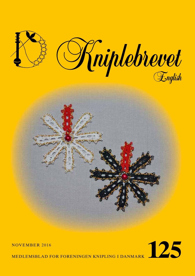

# NOVEMBER 2016<br>MEDLEMSBLAD FOR FORENINGEN KNIPLING I DANMARK

MEDLEMSBLAD FOR FORENINGEN KNIPLING I DANMARK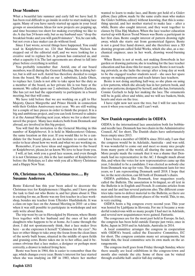# **Dear Members**

What a beautiful late summer and early fall we have had. It has been real difficult to go inside in order to start making lace again. Many of you have surely started up again in your local groups or associations. Ideas for new projects are popping up, and time becomes too short for making everything we like to do. A day has 24 hours only, but as my husband says: "drop the breakfast brake and you will gain30 minutes". Yes, he can talk, but not even a lace maker can do without food.

Since I last wrote, several things have happened. You could read in Kniplebrevet no. 124 that Marianne Nielsen has stepped out of the editorial staff, and we were looking for a creative soul to replace her. A person has contacted us, and what a capacity it is. The last agreements are about to fall into place before everything is settled.

You probably remember that Astrid, one of our board members, was ill during the General Meeting. She is doing better, but is still not well. Astrid has therefore decided to resign from the board. We called on our 1. substitute, Linda Olsen, to replace her. Linda is not able to take upon her the duty as a member of the board, as her private life is too busy at the moment. We called upon our 2. substitute, Charlotte Zachrau. She has yet not had the opportunity to participate in a board meeting, but that will come.

We have told before that we are working on a gift to Her Majesty, Queen Margrethe and Prince Henrik in connection with their Golden Anniversary next year. We are still waiting for a couple of lace pieces in order to finish the project. It is a big and ambitious project, and you can look forward to admire it at the Annual Meeting next year, where we for a short time unveil the project. Many lace makers, both from Denmark and abroad, are involved in this big project.

You will find the invitation to the General Meeting in this number of Kniplebrevet. It is held in Mødecenteret Odense, the same location as this year. If you would like to be a candidate for the board, please, do not hesitate to contact me in order to hear about how we work and what we are working on.

Remember, if you have ideas and suggestions to the board or Kniplebrevet, please,let us know. We love to hear from you.

I will, at last, wish you a good lace season, and even though it is not Christmas yet, this is the last number of Kniplebrevet before the Holydays, so I also wish you all a Merry Christmas and a Happy New Year.

# **Oh, Christmas tree, oh, Christmas tree…. By Susanne Andersen**

Bente Eskerod has this year been asked to decorate the Christmas tree for Kniplemessen i Slagelse, and I have gotten the task to find out who Bente is, and her plans about it. This is exciting for me, as Bente was my first teacher in a lace workshop, besides my teacher from Ullerslev Husfidsskole. It was a class on tape lace on the Annual Meeting in 2010 –at a time when it was still possible to participate in workshops and not only write about them.

The trip went by car to Hovedgård by Horsens, where Bente lives together with her husband and the ones of her adult daughters who happens to be at home. As I came through the door, I did not spontaneously think, that a lace maker lives here - as she expresses it herself "Calmness for the eyes". No lace or other things to take away the focus from the clean lines of the newly built house, situated in the middle of open fields and grassing cows. Bente takes me in to her office, and it becomes obvious that a lace maker, a designer or perhaps most correctly, a drawer is indeed living here.

Bente was born in 1964, this is easier to remember than the age, which changes every year. Bente's interest for lace started when she was studying on HF in 1983, where her mother wanted to learn to make lace, and Bente got hold of a Gislev pillow, (lace pillow, made by the same crafts man who makes the Gislev bobbins, editor) without knowing, that this is something special, and her mother started to make lace – after a while, Bente also caught interest, and they went together to classes by Elsa Høj Madsen. When the lace teacher education started up with Karen Trend Nissen was Bente a participant in her first class. Bente caught interest of pattern drawing right away, which she starts out from geometrical figures. Bente is not a good free hand drawer, and she therefore uses a 3D drawing program called Solid Works, which she also, as a mechanical engineer, uses in her work, drawing wood-burning ovens.

When Bente is not at work, not making flowerbeds in her garden or drawing patterns, she is teaching for the lace teacher education and has done this for many years. Bente is not teaching privately, as she lacks the energy after a long day at work to be the engaged teacher students need – she uses her spare energy on making patterns and teach future lace teachers.

Bente is not doing anything half-way, so she plans on using a few patterns, which she already has in her pattern book, and also new patterns, designed by herself, and she has, fortunately, Connie Gerlach to help her making the lace. The ornaments will be in gold, silver and white, and we will see baskets, birds, hearts and stars on the tree.

I have right now not seen the tree, but I will for sure have seen it when you read this, and I can't wait.

### **New Danish representative in OIDFA**

OIDFA is the international lace association both for bobbinand needle lace. Denmark has two chairs in the Administrative Council, AC for short. The Danish chairs have unfortunately been empty since 2013.

I have been a member of OIDFA since 2014 only. I saw that the congress would be in Adelaide, Australia - and was sold. It was wonderful to come out and meet so many nice people from many parts of the world, all sharing the same interest. More people made the remark that it was a shame that Denmark had no representative in the AC. I thought much about this, and when the votes for new representatives came up this year, I decided to be a candidate. I was elected as nobody else from Denmark was up for vote. The commitment lasts for two years, so I am representing Denmark until 2018. I hope that we, in the next election, can fill both of Denmark's chairs.

OIDFA publishes, like Denmark, four magazines yearly, called the Bulletin. The association is bi-lingual, so all text in the Bulletin is in English and French. It contains articles from near and far and has several patterns also. The different countries take turns to deliver material to the Bulletin, so there are materials from many different places of the world. This, to me, is very exciting.

OIDFA hosts a big congress every second year. This year was hosted by Ljubljana in Slovenia. For me it became a wonderful rendezvous with so many people I had met in Adelaide, and several new acquaintances were gained. Fantastic.

The congresses are for the most part held in Europe. In fact, the congress has been held outside Europe just twice, once in Kobe, Japan in 2010 and in Adelaide, Australia in 2014.

A local committee arranges the congress in cooperation with OIDFA's board, called the Executive Committee, EC for short. The congress contains many set arrangements, but beside this, the local committee sets its own mark on the arrangements.

The congress itself goes from Friday through Sunday, where there usually are local exhibitions in the congress-town and mostly also outside the city. Some of these can be visited through available half- and/or full day outings.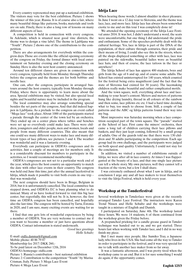Every country represented may put up a national exhibition. The visitors may vote for the best exhibition. Picture 1 shows the winner of this year, Russia. It is of course also a fair, where many beautiful things like patterns, books, materials and tools are on sale. Finely, there is also a long row of lessons on many different aspects of lace.

A competition is held in connection with every congress. In Adelaide, which is situated near good vine districts, the theme was to design a vine label. The theme in Ljubljana was "Youth". Picture 2 shows one of the contributions to the competition.

There are also arrangements for everybody within the congress days. Those are events like the official opening ceremony of the congress on Friday, the formal dinner with local entertainment on Saturday evening and the closing ceremony on Sunday. Here is also the next host country announced.

Around ten different classes are given in connection with every congress, typically held from Monday through Thursday before the congress and the themes are for both bobbin- and needle lace.

One can, after the congress, participate in arranged bustours around the host country, typically from Monday through Friday, where there is opportunity to learn more about the area. Special exhibitions may be visited, but also special local sights and beautiful nature may be included in the program.

The local committee may also arrange something special besides the set parts of the congress. And that did indeed happen in Ljubljana. As a prelude to the congress an event called "Mega lace" took place. About 1000 of the participants started a parade through the center of the town led by an orchestra. They ended up on a center plaza where tables and benches were set up so everybody could make lace. There were children, youngsters and older people, men and women, locals and people from many different countries. This also meant that one could see many different ways to make lace and many different types of lace pillows, see pictures 3 and 4. The weather was wonderful and it was a fantastic evening.

Everybody can participate in OIDFA's congresses and its activities. Just a couple of meetings are for members only. It is a considerable discount for members to participate in the activities, so I would recommend membership.

OIDFA's congresses are not set to a particular week end of the year, which gives the host country an opportunity to match the date with other lace events in their country. The congress was held end June this time, just after the annual lacefestival in Idrija, which made it possible to visit both events in one trip – that was wonderful.

The next congress should have been in Bruge, Belgium in 2018, but it is unfortunately cancelled. The local committee has stepped down, and OIDFA's EC is busy planning what to do instead. Many of us have looked forward to visit this big lace center, but regretfully, this will not be. It is, however, the first time an OIDFA congress has been cancelled, and hopefully also the last time. The congress will be hosted by Tartu, Estonia in 2020, and I am sure, many exciting events are waiting for us there.

I find that one gets lots of wonderful experiences by being a member of OIDFA. You are very welcome to contact me if you want to become a member or just have questions about OIDFA. Contact information is stated underneath.

*Good lace greetings Helle Schultz*

E-mail: oidfa.danmark@gmail.com Mobile phone: 40 86 79 87 Membership fee 2017: DKK 260,- To be paid latest on December 12th, 2016 OIDFA's homepage: oidfa.com Picture 1: Russia's contribution – best national exhibition Picture 2: Contribution to the competition "Youth" by Marisa Crisman, Italy. Picture 3: Mega Lace Event Picture 4: Mega Lace Event

# **Idrija Lace**

When hearing those words, I almost shudder in sheer pleasure. In June I went on a 12 day tour to Slovenia, and the theme was lace, lace, and more lace. Idrija lace has always been somewhat exotic to me and on this tour I was completely done in!

We attended the opening ceremony of the Idrija Lace Festival anno 2016. It was hot, I didn't understand a word, the seats were uncomfortable, but one thing I did understand: the pride and enthusiasm. Some of the speeches probably dealt with the cultural heritage. Yes, lace in Idrija is part of the DNA of the population, of their culture through centuries, their pride and their means of living. I could also see this in the streets, where all the shops displayed something or other with lace, lace was painted on the sidewalks, beautiful ladies wore as beautiful lace hats, and then of course, the lace tattoos in the face or anywhere!

The Idrija School of lace has approx 400 students, boys and girls from the age of 6 and up, and of course some adults. The School has existed uninterrupted for 140 years, which counted for the festival being extra magnificent (and the fact that the state of Slovenia had existed for 30 years). The lacemaking children really make beautiful and rather complicated motifs.

And the town square, well, everything about lace and lacemaking to your heart's content. Meters and meters of patterns hung like drying laundry, thread in all colours of the rainbow and then some, lace pillows etc etc. I had a hard time deciding what to buy, too much to choose from. Still, a couple of fan patterns and the ABC og Idrija patterns found their way into my bag.

Most impressive was Saturday morning when a lace competition occupied part of the town square. The "parade" started at the School of lace. First came the miners' orchestra, then came a long tail of children carrying their lace pillows and baskets, and they just kept coming, followed by a small group of adults. One of the guards told me that there were 130 children and 30 adults participating in the competition. Each age group had its own challenge, and the participants were judged on both speed and quality. Unfortunately, I could not stay for the conclusion.

In addition, we visited a number of exhibitions outside of Idrija, we were after all in lace country. At times I was flappergasted at the beauty of a lace, and that one single lace picture can tell a whole story. My own pictures, well they cannot tell a fraction of the views, but a few I shall share.

I was extremely enthused about what I saw in Idrija, and in conclusion I urge any and all lace makers to treat themselves to visit the Idrija Festival, which is held every year.

# **Workshop at the Tønderfestival**

Several workshops in Tønderlace were given at the recently arranged Tønder Lace Festival. The instructors were Karen Trend Nissen and Helle Schultz and the workshops were taught in a mixture of English and Danish.

I participated on Saturday, June 4th. The workshop lasted three hours. We were 14 students, 6 of them continued from the workshop given the Friday before.

A prepunched pricking for a candle grease guard in Tønder technique was handed out to us, and we got started. Three hours fast when working with Tønder lace, and I did in no way finish my piece.

But I met many nice people, like Sumiko Tray, a Japanese lady, who lives in the USA. She had come all the way to Tønder in order to participate in the festival, and it was very special for me to talk with another lace maker from so far away.

It was a fantastic afternoon, and I was pretty tired when the workshop came to an end. But it is for sure something I would do again, if the opportunity comes.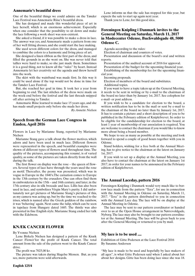# **Annemarie's beautiful dress**

One of the beautiful things we could admire on the Tønder Lace Festival was Annemarie Riise's beautiful dress.

She has designed and made this wonderful piece of art in lace herself, which is an enormous achievement. Especially when one consider that the possibility to sit down and make the lace following a work sheet was non-existent.

She asked a friend, if it was possible to make a dress in lace. The answer was yes, and Annemarie made a pattern from one of her well fitting dresses, and she could start the lace making.

She used seven different colors for the dress, and managed to combine the colors to a harmonic and living piece of art.

She designed a linen ribbon as the first part of the dress, and filled the grounds in as she went on. She was never told that tallies were hard to make, so she just made them. Sometimes it is a good thing, not to know all the ''rules'' by heart. Instead Annemarie let her creativity set the agenda and threw herself into the work.

The skirt with the waistband was made first. In this way it could be used alone if the top would not be done in time for the Tønder Lace Festival.

But, she reached her goal in time. It took her a year from beginning to end. The last stitches of the dress were made on the week-end before the festival and the last threads snipped off after arriving to Tønder.

Annemarie Riise learned to make lace 15 years ago, and she has made small projects only before she made her dress.

*By Annette Nielsen*

# **Speech from the German Lace Congress in Emden, April 2016**

Flowers in Lace by Marianne Stang, reported by Marianne Nielsen

Marianne Stang gave a talk about the flower motives, which adorn and have been used in much lace. Different flowers were represented in the speech, and beautiful examples were shown of different types of flowers used throughout time. The quality of the pictures, accompanying this resumé, is of varied quality, as some of the pictures are taken directly from the wall during the talk.

The first flower on display was the rose – the queen of flowers. Several types of lace have through the years used the rose as motif. Thereafter, the peony was presented, which was in vogue in Europe in the 1840's.The carnation comes to Europe in the 13th century by the crusaders. One can often find them in embroideries in the 15th – and 16th century, and later, in the 17th century also in silk brocade and lace. Lillis has also been used in lace, and symbolizes Virgin Mary's purity. I did unfortunately not get pictures of Marianne Stang's pictures of this, as my camera was acting up, but by the time we reached to the irises, which is named after the Greek goddess of the rainbow, it was 'behaving' again. Next came the tulip, which can be seen in tapelace from Hungary dated 1685. The thistle was also presented in fine English style. Marianne Stang ended her talk with the Edelwess.

# **KNÆK CANCER FLOWER**

By Yvonne Nielsen

**English 125/4**

Lene Birkely Nielsen has designed a pattern of the Knæk Cancer Flower'for the profit of Knæk Cancer. The total amount from the sale of the pattern went to the Knæk Cancer drive.

The profit was 7025,00 kr.

The picture was taken during Slagelse Messen. But, as you see, more patterns were sold afterwards.

Lene informs us that the sale has stopped for this year, but expects the sale to start up again next year.

Thank you to Lene, for this good idea.

# **Foreningen Knipling i Danmark invites to the General Meeting on Saturday, March 11, 2017 in Mødecenter Odense, Buchwaldsgade 48, 5000 Odense C.**

Agenda according to the rules:

Election of chairman and counters of votes.

Presentation and discussion of the board's oral and written reports.

Presentation of the audited account of 2016 for approval.

Presentation of the budget for the upcoming financial year.

Establishing of the membership fee for the upcoming financial year.

Incoming proposals.

Election of members of the board and substitutes.

Additional topics.

If you want to have a topic taken up at the General Meeting, it needs to be sent in writing or by e-mail to the chairman of the board no later than by January 1st, 2017. See colophon for e-mail- or post address.

If you wish to be a candidate for election to the board, a written notification has to be in the mail or sent by e-mail to the chairman of the board no later than by January 1st, 2017. It has to contain a picture and a short description of you to be published in the February edition of Kniplebrevet. In order to be eligible for the candidateship for election to the board, at least 1 year of membership of our association is required. You are welcome to contact the chairman if you would like to know more about being a board member.

We hope to see as many as possible at the meeting and look forward to spend a couple of good hours together with you in Odense.

Stand holders, wishing for a free both at the Annual Meeting, has to give notice to the chairman at the latest on January 1st, 2017.

If you wish to set up a display at the Annual Meeting, you also have to contact the chairman at the latest on January 1st 2017, in order for your names to be announced in the February edition of Kniplebrevet.

# **The Annual Laceday, pattern 2016**

Foreningen Knipling i Danmark would very much like to borrow lace made from the pattern "Tera", for use in connection with the Annual Meeting in Odense on Saturday, March 11, 2017. "Tera" is the pattern distributed to you in connection with the Annual Lace day. The lace will be on display at the Annual Meeting in Odense.

The lace may be sent to our pattern coordinator or handed over to us at the Open House arrangement in Nørrevoldgade, Nyborg. The lace may also be brought to our pattern coordinator at the Annual Meeting. The lace will be given back to you after the General Meeting or returned to you by mail.

# **My lace is to be used ....**

Exhibition of Gitte Pedersen at the Lace Festival 2016 By Susanne Andersen

"My lace is made to be used and hopefully by lace makers of all ages", is what Gitte Pedersen said when I asked about her about her designs. Gitte has been doing lace since she was 18.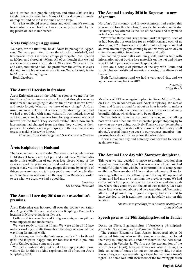She is trained as a graphic designer, and since 2003 she has taught people to make lace. Many of Gittes designs are made on request, and no job is too small or too large.

Gitte has exhibited several times and each time it's exciting to see what's new. This time I was especially fascinated by the big pieces of lace in her "fence".

# **Årets knipledag i Aggersund**

We have, for the first time, held" Årets knipledag" in Aggersund. We were permitted to use the church's parish-hall, and lacemakers from 3 different groups participated. We opened at 1:00pm and closed at 4,00pm. All of us thought that we had a very nice afternoon with about 30 visitors. We sold coffee and cake, and talked a lot. The profit from the coffee-sale was donated to the breast cancer association. We will surely invite to "Årets Knipledag" again.

Bodil Jacobsen

# **The Annual Laceday in Stenløse**

Årets Knipledag was on the tablet as soon as we met for the first time after summer vacation. Our first thoughts were as usual: "what are we going to do this time", "what do we have" and notto forget, "what do we have of new things". And, as usual, we were able to put a varied exhibition together, and we had a good day with many visitors. It was looked, showed and told, and some lacemakers from long ago showed renewed interest for the trade. They seemed excited about how much lacemaking had changed from the time they worked at their pillows. The exhibition has perhaps given them a renewed interest in making lace, who knows.

*Greetings from Kniplepigerne I H.E.P. Huset in Stenløse*

# **Årets Knipledag in Hadsund**

The laceday was nice and calm. We were 4 ladies, who sat on Butikstorvet from 9 am. to 1 pm. and made lace. We had also made a nice exhibition of our own lace pieces. Many of the stores around the place were closed and we therefore did not expect many visitors. But many people did come by in spite of this, so we were happy to talk to a good amount of people after all. Some lace makers came all the way from Randers in order to see what we do, so we had a good day.

> *Sincerely Lis Larsen, Hadsund*

### **The Annual Lace day 2016 on our association's premises.**

Årets Knipledag was honored all over the country on Saturday, August 27th this year, and also on Knipling i Danmark's location in Nørrevoldgade in Nyborg.

Coffee and tea were brewed in big amounts, as our pillows were unpacked and made ready.

We were ready to start at 10 am. We were all in all 12 lace makers working in shifts throughout the day, one came all the way from Dronning Mølle.

The talking was lively, the bobbins moved swiftly forth and back, the laughter happy, and far too fast it was 3 pm. and Årets Knipledag had come and gone.

We had a fantastic day, but would have appreciated more visitors. So, let this be a kind reprimand to all of you for Årets Knipledag 2017.

# **The Annual Laceday 2016 in Bogense – a new adventure**

Nordfyn's Turistkontor and Ervervskontoret had earlier this year moved together to a bright, wonderful location on Vestre Havnevej. They offered us the use of the place, and they made us feel very welcome.

"We" were Bente and Birgit from Fynske Kniplere. Each of us had brought our own lace for en exhibition, and each of us also brought 2 pillows each with different techniques. We had an even stream of people coming by on this very warm day, in spite of competition from beach, marina and cafés.

We had many good talks with our guests, and our help with information about buying lace materials on the net and where to get hold of patterns, was much appreciated.

Here are a couple of pictures of the day with Bente and Birgit plus our exhibited materials, showing the diversity of the craft.

Both Turistkontoret and we had a very good day, and we agreed on coming back in 2017.

> *Sincerely Birgit Bryde*

Members of KIT were again in place in Greve Midtby Center on Lille Torv in connection with Årets Knipledag. We met at 10am. and fussed around for about an hour in order to make a big and nice exhibition of our lace pieces. It was as usual many beautiful things, which deserve to be on display.

We had lots of room to spread out this year, and the talking both with each other and with interested people stopping by to see what we were doing, was lively. Thank you to the members who came using their day off to show what lace today is all about. A special thank you goes to our youngest member – impressing how she sat by her pillow the whole day.

It was a real nice day, and I already look forward to doing it again next year.

# **The Annual Lace day with Storstrømskniplerne.**

This year we had decided to move to another location than where we have usually been. This was a good choice. We had wonderful light rooms with better opportunities to arrange our exhibition. We were about 15 lace makers, who met at 9 am. for morning coffee and for setting up our display. We opened at 10 am. and had more visitors than the previous years. We had coffee and a little piece of cake for the visitors, and also a pillow where they could try out the art of lace making. Lace was made, lace was talked about and lace was admired. We parted, after a real pleasant day in good company, but after first to have decided to do it again next year, hopefully also on this location.

> *The best lace greetings from Storstrømskniplerne Lone Nielsen*

# **Speech given at the 10th Kniplingsfestival in Tønder**

Dørns og Diele, Bygningskultur i Vestslesvig på kniplepigernes tid. Short summary by Marianne Nielsen

The curator Elsemarie Dam-Jensen introduced about 20 interested listeners, who on the Sunday morning had found their way to Pumpehuset, Tønder Museum, to the local building culture in Vestslesvig. We first got the explanation of the word 'Flekke' (spot), because it was not what I thought, a little collection of houses far out on the county side, but alas, it was a larger village resembling a town, but without a town's rights. The name was until 1868 used for the following places in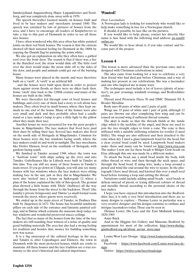Sønderjylland: Augustenborg, Højer, Løgumkloster and Nordborg, and was completely done away with in 1970.

The speech thereafter focused mainly on houses, built and lived in by lace makers and -merchants around 1840. The speech was enriched by lots of pictures of houses from the area, and I have to encourage all readers of Kniplebrevet to take a trip to this part of Denmark in order to see all those nice houses.

I have often wondered why this area often has white-painted joints on their red brick houses. The reason is that the citizens showed off their national feeling for Denmark in the 1800s by copying the Danish flag by painting the joints white.

We also got an explanation on why they often have a gabled roof over the front door. The reason is that if there was a fire in the thatched roof, the straw would slide off. The little roof over the door would make the straw slide off to the sides of the door, and people and animals could get out of the burning house.

Many houses were placed in the marsh, and were therefore built on a 'værft'. A 'værft' is an artificial hill

, and the houses were built upon them in order to protect them against storm floods, as there were no dikes back then. Some 'værft' date back to the 1200th century and many of the houses are built in the 1600s.

We were thereafter led through rows of local houses and buildings, and every one of them had a story to tell about lace makers. They often lived in small houses, where they kept animals in one end of the house. Many of the homes were also very small and dark and they probably often had a candle stand or a lace maker's lamp to give a little light to the pillow when they made their lace.

Another house we were presented for was the poor people's home in Møgeltønder. The lace makers that lived here paid their dues by selling their lace. Several lace makers also lived on the north side of Slotsgade in Møgeltønder. Common for these houses were the bay windows facing south, where the lace makers could sit and work in sunlight. The lace merchants, like Detlev Hansen, lived on the southside of Slotsgade, with gardens facing south.

We finished in Tønder around 1588, where the town was a ''harbour town'' with ships sailing up the river and into Tønder. Gabelhouses like in Lübeck were built in Tønder at this time. You can still see many of these houses in Tønder's main street. If you go down in Uldgade, you will also see many houses with bay windows where the lace makers were sitting making lace in the sun, just as they did in Møgeltønder. We were also 'invited' into a house on Spikergade 12, where a plan of the house explained the title of this speech. The ground plan showed a little house with 'Diele' (hallway) all the way through the house from the street to the backdoor, 'Pesel' (the familiy's private livingroom) and 'Dørns' (a small formal room towards the street, where guests were received).

We ended up in the main street of Tønder, in Drøhses Hus built by Jürgensen in 1672. The house has beautiful sandstone pillars on each side of the entrance and fantastic painted ceilings, and in Dørns, which contains the museum shop today, are bay windows and wonderful preserved stucco ceilings.

The fact that so many of the houses from the time of the lace makers are still standing, bear witness of a sense of quality and good building materials. The area has also had a strong feeling for tradition and besides that, money for building something new was scarce.

It is a big awareness of the cultural heritage in the area, and Tønder is, after Copenhagen and Elsinore, the town in Denmark with the most protected houses, which are costly to maintain. All these houses and the lace tradition are a true testimony to the area's historical and cultural importance.

# **Wanted!**

#### *Dear Lacemakers*

A Norwegian lady is looking for somebody who would like to help make something in lace for a Norwegian church.

It should, if possible, be lace like on the pictures.

If you would like to help, please, contact her directly. Her name is Ane Sand with the following mail address: an-sand@ online.no

We would like to hear about it, if you take contact and become part of the project.

# **Lesson 4**

This lesson is more advanced than the previous ones, and is designed with Christmas celebrations in mind.

The idea came from looking for a way to celebrate a very dear friend who had died just before Christmas, and a way of making her present at our celebrations. She was a lacemaker and one who inspired me in many ways.

The techniques used include a lot of leaves (plenty of practice!), six pair crossings, windmill crossings, and Bedfordshire circles.

Thread used Presencia Finca 50 and DMC Diamant Fil A Broder Metallise

Body uses 48 pairs of white and 2 pairs of gold.

Wings use 33 pairs of white and 1 pair of gold, although 12 pairs are thrown out after completing first wing and can be reused on second wing if sufficient thread remains.

The skirt is made so that the threads finish at the inside edge which is the neckline of the angel, and these are used to join the two straight edges to form a cone. The cone is then stiffened with a suitable stiffening solution for textiles (I used Stiffy). The wings are also stiffened and then attached to the cone when dry. I used a glass lampwork bead for the head, but a clear crystal bead could be used. Lampwork bead makers make these and many can be found on http://www.etsy.com The maker I now use for these beads is Midget Gem beads on Etsy, although this one was made by a different maker.

To attach the bead, use a small bead inside the body, with either thread or wire, and then through the neck space, and through the head bead. If using wire, make a loop around a pencil and wind the end around the wire to secure. In the photograph I have used thread, and knotted this over a small seed bead before forming a loop and cutting the thread.

Variations could include adding small beads – seed beads or delicas instead of picots, or trying different colours of thread and metallic thread according to the personal choice of the lace maker.

I hope you have enjoyed this introduction into the Bedfordshire lace, it is only a very brief introduction and there are so many designs to explore – Thomas Lester in particular was a very creative designer and his designs continue to enthuse and intrigue lacemakers today. These can be seen in

Thomas Lester, His Lace and the East Midlands Industry, 1820-1905

Anne Buck

And at the Higgins Art Gallery and Museum, Bedford, by appointment for most of the collection. http://www.thehigginsbedford.org.uk/about\_us/our\_story.aspx

Louise West Lace Design – http://www.louisewestlacedesign. co.uk

Facebook - https://www.facebook.com/Louise.west.lace.design/

Twitter - https://twitter.com/laceyloudesign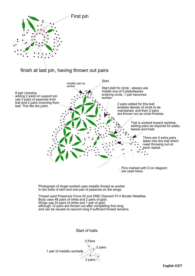

# finish at last pin, having thrown out pairs



2 pairs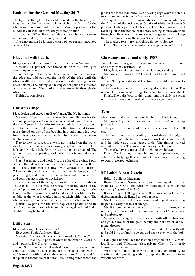### **Emblem for the General Meeting 2017**

The figure is thought to be a ribbon made in the lace of your imagination. Use linen stitch, whole stitch or half stitch for the ribbon or something quite different. Make a pricking in the middle if you wish. In short, use your imagination!

Thread no. 60/2 or K80 is suitable and can be had in many nice colors, but any thread may be used.

The emblem can be fastened with a pin or perhaps mounted on a necklace.

#### **Placemat with hearts**

Idea, design and execution: Helen Toft Pedersen, Vadum

Materials: 140 pairs of linen thread 40/2 or 35/2. 40/2 will give a more open weave.

Start: Set up on the top of the curve with 14 open pairs on the edge and add pairs on the inside of the edge until the whole width is in place. Take pairs out inside the edge as the heart narrows. The adding and taking out of pairs are indicated on the worksheet. The marked twists are valid through the whole lace.

Finish: As you please.

#### **Christmas angel**

Idea, design and execution: Bep Vianen, The Netherlands

Materials: 16 pairs of linen thread 60/2 and 20 pairs for the ground, plus 1 pair cotton crochet yarn. 34 of 3 mm. beads for the dress' ground. The pairs for leaves and plaits in the ground are often set in and taken out. It is therefore useful to wind more thread on one of the bobbins in a pair, and wind over from this one to the other as needed. In this way, not so many bobbins are used.

Due to lack of space, are twists not marked on the worksheet, but there are always a twist going from linen stitch to half- and whole stitch. Extra twists are made as needed. The ground is made by plaiting, and pairs are set in and taken out as needed.

Start: Set up at A and work first the edge of the wing. 1 pair of linen thread and the pair of cotton thread is added at B. see fig. 1. The cotton pair is marked with vertical lines on fig.1. When meeting a picot, you work linen stitch through the 2 pairs in fig.1, make the picot and go back with a linen stitch and continue according to worksheet.

The inside part of the wings are worked against the ribbon. The 2 pairs for the leaves are worked in to the lace and the same 2 pairs are worked through the lace and ending with the leaves on the opposite side of the sleeve. The ribbon in the middle of the wing is worked in linen stitch with 4 pairs. The ribbon going around is worked with 3 pairs in whole-stitch.

Finish: Sew pairs into the start loop where possible and tie off. The other ends are tied off. Starch the angel well and fold it double. It may be lined.

#### **Little Star**

Idea and design: Janice Blair, USA

Execution: Sonja Andersen, Ikast

Materials: Star no.1: 8 pairs oflinen thread, 50/2 or 60/2.

 Star no.2: 4 pairs of white linen thread 50/2 or 60/2 and 4 pairs of DMC silver thread.

Start: Set up as indicated with dots on the worksheet and continue around the star shape according to the arrow. Star no.1 is worked with 6 pairs in the star itself, and 2 pairs used for the plait in the middle of the star. Use turning stitch where the pin is used more than once. Use a sewing edge when the star is worked in linen stitch only. See worksheet no.1.

Set up star no.2 with 1 pair of silver and 1 pair of white on the first pin of the inside edge, 3 pairs of white on the next 3 pins and 1 silver pair on the last pin. The 2 last pairs are used for the plait in the middle of the star. Turning stitches are used throughout the star's inside and outside edges in order to keep the silver thread along the edges. See worksheet no. 2.

The marked twists are valid through the whole lace.

Finish: The pairs are sewn into the set-up loops and tied off.

#### **Christmas runner and doily, 1987**

Tinne Hansen has given us permission to reprint this runner and doily from Christmas 1987.

Idea, design and execution: Tinne Hansen, Rødding

Materials: 12 pairs of 16/2 linen thread for the runner and doily.

Start: Set up in a diagonal line from the middle and out to the edge.

The lace is connected with sewings down the middle. The marked twists are valid through the whole lace. See worksheet.

Finish: The pairs both of the runner and the doily are sewn into the start-loops and finished off the way you prefer.

#### **Tera**

Idea, design and execution: Lone Nielsen, Stubbekøbing

Materials: 23 pairs of Bockens linen thread 40/2 and 1 gimp pair 18/5

The piece is a triangle where each side measures about 28 cm.

The lace is worked according to worksheet. The edge is worked in linen stitch. The flower is worked in linen stitch and the middle as a three-legged spider. The gimp is worked around the flower. The ground is a honeycomb ground.

The marked twists are valid through the whole lace.

Finish: The finishing off may be done with plaits, along the set- up line, by tying off or with use of magic threads, according to your preferred technique.

#### **Mª Isabel Albert García**

Editor Bolilleras Magazine

Born in Valencia, Spain, in 1971, and founding editor of the Bolilleras Magazine along with my friend and colleague Pablo Cocconi (Argentina) in 2013.

It was a major challenge, because there was no market at the digital magazine dedicated to bobbin lace.

My knowledge in fashion design and digital advertising helped me carry out this challenge.

My first contact with the world of lace was through my mother, I was born under the family influence of Spanish lace and embroidery.

Valencia is a magical place enriched with silk embroidery and gold, because of the great beauty and richness of our regional dresses.

From very little you can learn to embroider tulle with silk and gold in your family nucleus and has to play with the bobbins.

I designed bobbin lace for fashion designers in USA, Mexico, Brazil and Colombia. Also, private Clients, from Arab Emirates and Japan.

With the Bolilleras magazine, I had the opportunity to clarify my designs along with a group of collaborators from various countries.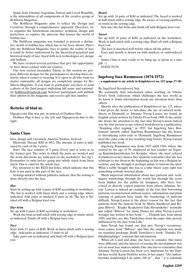Spain, Italy, Estonia, Argentina, Taiwan and Czech Republic, is the nationalities of all components of the creative group of Bolilleras Magazine.

The Bolilleras Magazine aims to reflect the Design and Creativity through a comprehensive approach. Therefore, try to organize the harmonious encounter technical, design and perfection, to explore the universe that houses the world of bobbin lace.

The Bolilleras magazine was founded to present a distinctive world of bobbin lace which has so far been shown. That's why the Bolilleras Magazine tries to justify the reality of lace it could be better understood by the theoretical-practical and historical study of lace, fused with new technologies, art, design and fashion.

We have created several activities that give the opportunity to have direct contact with our readers.

Our new section lacemaker Talent, in this section we propose different designs for the participants to develop their creativity when it comes to weaving. It is open to all who want no matter nationality; all designs are completely unique for Bolilleras Magazine. If you want to participate you have to send a photo of the final project indicating full name and nationality bolilleras@outlook.com Selected participants will publish their photos in the magazine and receive gift that number.

#### **Rettelse til blad nr.**

Digegrevens Hus was put in instead of Drøhses Hus.

Drøhses Hus is hier to the left and Digegrevens hus to the right.

#### **Santa Claus**

Idea, design and execution: Annette Nielsen, Jernved

Materials: Thread: K80 or 60/2. The amount of pairs is indicated by each of the 5 parts.

Start: The lace consists of 5 parts. Every part is sewn in to the former part. The order in which the parts are worked and the work-directions are indicated on the worksheet. See fig.1. Remember to twist before going into whole stitch from linen stitch. This is valid for the whole lace.

Pay attention to the RED pin holes, which indicate that this hole is not used in this part of the lace.

Sewings marked without pinholes indicate that the sewing is done directly into the lace.

#### *Hat*

Start by setting up with 4 pairs of K80 according to worksheet. The hat is worked with linen stitch and a sewing edge where indicated. Add pairs as marked, 8 pairs in all. The hat is finished off with a Belgian knot row.

#### *Hat-brim*

Set up with 8 pairs of K80 according to worksheet.

Work the brim in half stitch with sewing edge in whole stitch, as indicated. Finish off with a Belgian knot row.

#### *Face*

Start with 13 pairs of K80. Work in linen stitch with a sewing edge. Add pairs as indicated, 15 pairs in all.

Take pairs out as indicated, and bind off with a Belgian knot row.

#### *Beard*

Set up with 14 pairs of K80 as indicated. The beard is worked in half stitch with a sewing edge. Be aware of varying numbers of twists in the sewing edge.

Sew into the hat-brim and finish off with Belgian knot row.

#### *Tassel*

Set up with 10 pairs of K80, as indicated on the worksheet. Work in half stitch with a sewing edge. Bind off with a Belgian knot row.

The lace is starched well before taken off the pillow.

Eyes and mouth is drawn on with markers or embroidered on.

Santa Claus is now ready to be hung up, or given as a nice  $g$ ift :-)

HAVE FUN!

#### **Ingeborg Sara Rasmussen (1874-1972)**

**– a supplement to my article in Kniplebrevet no. 123 (page 17-18)**

#### By IngeGerd Stevnhoved, Sejs

We constantly find information when working on Vibeke Ervø's book collection, which challenges the lace world as we know it. Some information needs our attention more than others.

Shortly after the publication of Kniplebrevet no. 123, where I had given the honor to introduce the use of colored worksheets in Denmark to Johanne Nyrop-Larsen, we found an English article written by Vibeke Ervø from 1989. It the article she draws the attention to the fact that Nyrop-Larsen indeed was the first person to use colored worksheets in a publication, ''Knipling efter tegning'' in 1955, but Ingeborg Sara Rasmussen (mostly called Ingeborg Rasmussen) has the honor to introducing color-code to Denmark. Ingeborg Rasmussen used the color code in her teaching long before Nyrop-Larsen published her book.

Ingeborg Rasmussen was from 1925 until 1944, where she retired by the age of 70, employed as lace teacher on Tegneog Kunstindustriskolen for Kvinder, where she used colored worksheets in her classes. Her students remember that she was reluctant to use them in the beginning, as this was a Belgian invention, and she thought it perhaps unfair to borrow the idea! What a noble thought this was at a time where copy right was something nobody worried about.

Much important information about lace patterns and -techniques wanderings through the world has through the years been hidden for the public by designers, who have borrowed or directly copied patterns from others. Johanne Nyrop- Larsen is indeed an example of the fact that borrowing patterns, reconstruction without source -information and plain copying of patterns have made the wanderings of patterns difficult. Nyrup-Larsen is the direct reason for the fact that patterns from the famous book by Maria Smolková and Regina Bibová: "Krajky Krajkárství lidu Slovanského" normally just called "Bibová" for many Danes are what Nyrop-Larsen wrongly has written in her book: "…..Flemish lace from about 1850, and they are, like Tønderlace from the same time period, influenced by the lace from Lille."

Jana Novak has found out that mrs. Nyrop's reconstructions comes from "Bibová" and that the originals was made on standard prickings. Bodil Tornehave's book "Danske Frihåndskniplinger" contains this information.

When all is said and done, one have to consider, that times were different, and the interest of tracing the development was not on most lace makers minds. One also has to remember that Johanne Nyrop-Larsen has been very important for the Danish lace world. Karin Hoffritz writes in her paper "Det københavnske kniplemiljø I de sidste 100 år" , that " it is solemnly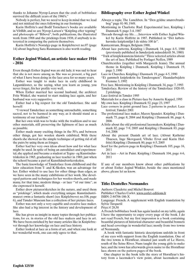thanks to Johanne Nyrop-Larsen that the craft of bobbinlace survived the difficult years of the 1960's."

Nobody is perfect, but we need to keep in mind that we lead and not mislead the ones following in our footsteps.

Karin Hoffritz's and Bodil Tornehave's books are available in VibBib, and so are Nyrop-Larsen's "Knipling efter tegning" and photocopis of "Bibová", both publications, the illustrated work from 1908 and the prickings from 1938, if anybody is interested in comparing the pattern themselves.

Karin Hoffritz's Nostalgy-page in Kniplebrevet no.97 (page 14) about Ingeborg Sara Rasmussen is also worth reading.

# **Esther Jegind Winkel, an artistic lace maker 1916 - 2016**

Even though Esther Jegind was an old lady, it was sad to hear that she is not more among us. She was so present, a big part of what I have been doing in the lace area for so many years.

Esther was taught to make lace in early childhood in Løgumkloster, so the saying, what you learn as young, you never forget, fits her profile very well.

When Esther married her second husband, the architect Fritz Winkel, she wanted to start making lace again, and her husband was very supportive.

Esther had a big respect for the old Tønderlace. She said herself:

"I viewed Tønderlace as something untouchable, something sacred, not to be harmed in any way, as it should stand as a testimony of our tradition."

But her own wish was to brake with the tradition and to use other materials, still preserving the lightness of lace as much as possible.

Esther made many exciting things in the 50's, and between other things, got her woolen shawls exhibited. With these shawls she showed us the simple technique of getting rid of all the pairs by using them as fringes.

Esther had her very own ideas about how and for what lace might be used. In spite of being an autodidact and experimental, she applied and became a student at Tegne- og Kunstindustriskolen in 1965, graduating as lace teacher in 1969, just when the school became a part of Kunsthåndværkerskolen.

The basic knowledge of Tønderlace from childhood and the later education from T- and K-Skolen, was an advantage for her. Esther wished to use lace for other things than edges, as we have seen in the many exhibitions of her work. She developed patterns and techniques for her woolen shawls, and made many, for that time, modern things - or lace '"of our time", as she expressed it herself.

Esther drew pictures/sketches in the nature, and used them as "prickings", which made everything unique. Kunstindustrimuseet owns a fantastic shawl (see Kniplebrevet no.106, page 6), and Tønder Museum has a collection of her picture laces.

Esther was not only a very capable and creative lace maker. She also had a big interest in the history and development of lace.

She has given us insight in many topics through her publications, for ex. in stories of the old lace makers and lace in art. We have been enriched by her many articles like in Kniplebrevet through her knowledge on lace and lace history.

Esther looked at lace as a form of art, and when one look at her wonderful work, one can only agree to that.

# **Bibliography over Esther Jegind Winkel**

- Always a topic, The Lunchbox. In "Den gyldne smørrebrødsbog" page 81-90, 1949.
- Mentioning in Charlotte Rud: Experimental lace, Knipling i Danmark 9, page 3-4, 1987

Threads through my life…..Interview with Esther Jegind Winkel by Karin Hoffritz in 1987. Published in "Det københavnske kniplemiljø I de sidste 100 år".

Kantcentrum, Bruges, Belgium 1988.

About lace patterns, Knipling i Danmark 14, page 4-5, 1988 (previously published in Sønderjysk månedskrift 56, 1980)

"Træk af kniplekunstens historie" Three selected articles about the art of lace. Published by Forlaget Neffen, 1989

Churchtextiles (together with Margareth Jeans). The annual theme in Knipling i Danmark. Knipling i Danmark 19, page 3, 1990

Lace in Churches. Knipling i Danmark 19, page 4-5, 1990

"Et gammelt knipleskrin fra Tønderegnen". Haandarbejdets Fremme 3, 1992

Free lace. Mentioning in Knipling i Danmark 34, page 7, 1993

Tønderlace. Review of the history of the Tønderlace 1920-95. 2 prickings.

Lace festival in Tønder 1995

Materials for a class in Picture-lace by Annette Kappel, 1995

My own lace. Knipling i Danmark 52, page 23, 1997

Lace corners in point ground lace. 2 patterns in pocket. Lace festival, Tønder 2001

The professional lace maker, Maren Spandet. Knipling i Danmark 75, page 8, 2004 and Knipling i Danmark 86, page 4, 2006

A little about the old professional lacemakers. Knipling i Danmark 82, page 7-9, 2005 and Knipling i Danmark 83, page 5-6, 2006

About the present Danish art of lace. (About Kathrine Thuesen, Inge Skovgaard, Vibeke Ervø and Karin Hoffritz) Knipling i Danmark 80, page 4-5, 2005

Scarf for the pattern page in Knipling i Danmark 105, page 16, 2011

Art in lace – Art in Paint. Knipling i Danmark 104, page 4-6, 2011

If any of our members know about other publications by or about Esther Jegind Winkler, beside the ones mentioned above, please let us know.

**Title: Dentelles Normandes**

Authors: Claudette and Michel Bouvot

Publisher: Charles Corlet. www.corlet-editions.fr

ISBN: 2-84706-186-X

Language: French. A supplement with English translation by Sylvie Turquetil

Price:  $\epsilon$  28,50

A French bobbinlace book has again landed on my table, again I have the opportunity to enjoy every page of the book. I do not read French, but my first impression is a book containing beautiful pictures of historical character and beautiful bonnets and head coverings in wonderful lace; mostly from two towns of Normandy.

A book with fantastic historic descriptions unfolds in front of my eyes with support from the English translation. One of the two towns is Hornfleur, situated just south of Le Havre, south of the Seine River. Nuns taught the young girls to make lace, and the town has afterwards given name to the Hornflour lace, shown on the pattern pages of the book.

One chapter in the book tells the story of Hornfleur's history from a lacemaker's view point, about lacemakers and